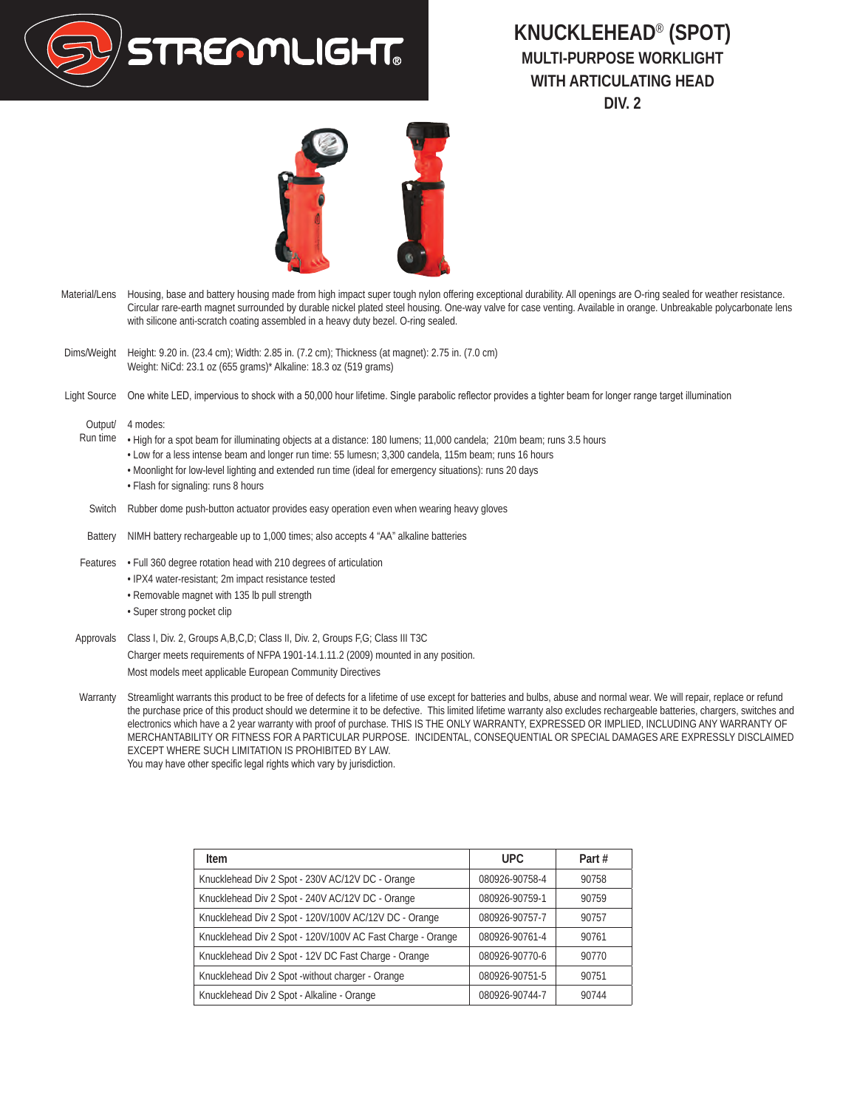

## **KNUCKLEHEAD**® **(SPOT) MULTI-PURPOSE WORKLIGHT WITH ARTICULATING HEAD DIV. 2**

- Material/Lens Housing, base and battery housing made from high impact super tough nylon offering exceptional durability. All openings are O-ring sealed for weather resistance. Circular rare-earth magnet surrounded by durable nickel plated steel housing. One-way valve for case venting. Available in orange. Unbreakable polycarbonate lens with silicone anti-scratch coating assembled in a heavy duty bezel. O-ring sealed.
- Dims/Weight Height: 9.20 in. (23.4 cm); Width: 2.85 in. (7.2 cm); Thickness (at magnet): 2.75 in. (7.0 cm) Weight: NiCd: 23.1 oz (655 grams)\* Alkaline: 18.3 oz (519 grams)
- Light Source One white LED, impervious to shock with a 50,000 hour lifetime. Single parabolic reflector provides a tighter beam for longer range target illumination

Output/ 4 modes:

- Run time High for a spot beam for illuminating objects at a distance: 180 lumens; 11,000 candela; 210m beam; runs 3.5 hours
	- Low for a less intense beam and longer run time: 55 lumesn; 3,300 candela, 115m beam; runs 16 hours
	- Moonlight for low-level lighting and extended run time (ideal for emergency situations): runs 20 days • Flash for signaling: runs 8 hours
- Switch Rubber dome push-button actuator provides easy operation even when wearing heavy gloves
- Battery NIMH battery rechargeable up to 1,000 times; also accepts 4 "AA" alkaline batteries
- Features Full 360 degree rotation head with 210 degrees of articulation
	- IPX4 water-resistant; 2m impact resistance tested
	- Removable magnet with 135 lb pull strength
	- Super strong pocket clip

Approvals Class I, Div. 2, Groups A,B,C,D; Class II, Div. 2, Groups F,G; Class III T3C Charger meets requirements of NFPA 1901-14.1.11.2 (2009) mounted in any position. Most models meet applicable European Community Directives

Warranty Streamlight warrants this product to be free of defects for a lifetime of use except for batteries and bulbs, abuse and normal wear. We will repair, replace or refund the purchase price of this product should we determine it to be defective. This limited lifetime warranty also excludes rechargeable batteries, chargers, switches and electronics which have a 2 year warranty with proof of purchase. THIS IS THE ONLY WARRANTY, EXPRESSED OR IMPLIED, INCLUDING ANY WARRANTY OF MERCHANTABILITY OR FITNESS FOR A PARTICULAR PURPOSE. INCIDENTAL, CONSEQUENTIAL OR SPECIAL DAMAGES ARE EXPRESSLY DISCLAIMED EXCEPT WHERE SUCH LIMITATION IS PROHIBITED BY LAW. You may have other specific legal rights which vary by jurisdiction.

| Item                                                       | UPC.           | Part# |
|------------------------------------------------------------|----------------|-------|
| Knucklehead Div 2 Spot - 230V AC/12V DC - Orange           | 080926-90758-4 | 90758 |
| Knucklehead Div 2 Spot - 240V AC/12V DC - Orange           | 080926-90759-1 | 90759 |
| Knucklehead Div 2 Spot - 120V/100V AC/12V DC - Orange      | 080926-90757-7 | 90757 |
| Knucklehead Div 2 Spot - 120V/100V AC Fast Charge - Orange | 080926-90761-4 | 90761 |
| Knucklehead Div 2 Spot - 12V DC Fast Charge - Orange       | 080926-90770-6 | 90770 |
| Knucklehead Div 2 Spot -without charger - Orange           | 080926-90751-5 | 90751 |
| Knucklehead Div 2 Spot - Alkaline - Orange                 | 080926-90744-7 | 90744 |